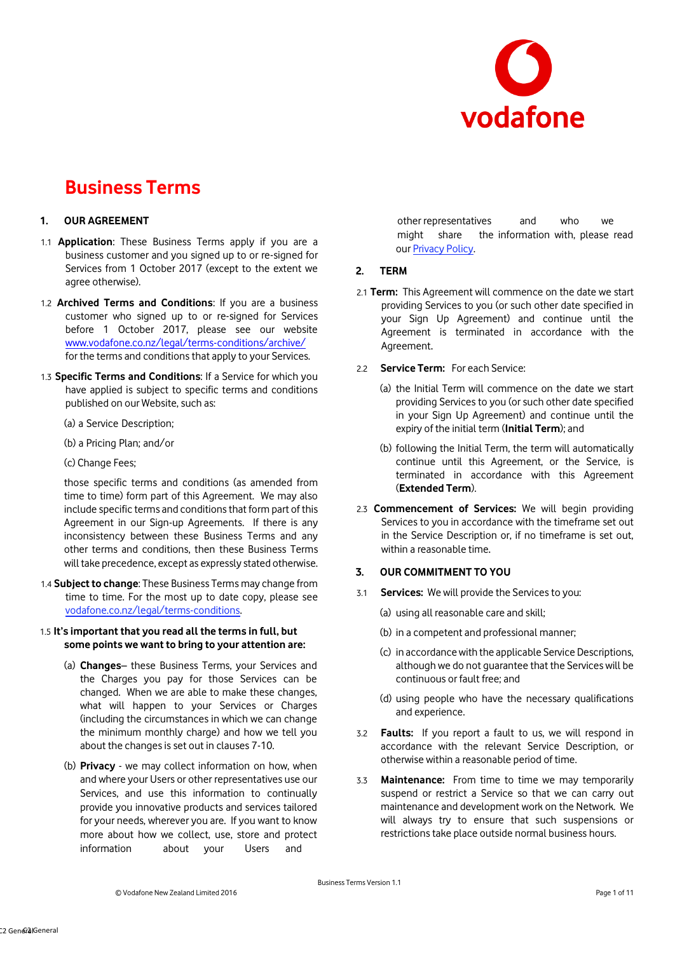

## **1. OUR AGREEMENT**

- 1.1 **Application**: These Business Terms apply if you are a business customer and you signed up to or re-signed for Services from 1 October 2017 (except to the extent we agree otherwise).
- 1.2 **Archived Terms and Conditions**: If you are a business customer who signed up to or re-signed for Services before 1 October 2017, please see our website [www.vodafone.co.nz/legal/terms-conditions/archive/](http://www.vodafone.co.nz/legal/terms-conditions/archive/) for the terms and conditions that apply to your Services.
- 1.3 **Specific Terms and Conditions**: If a Service for which you have applied is subject to specific terms and conditions published on our Website, such as:
	- (a) a Service Description;
	- (b) a Pricing Plan; and/or
	- (c) Change Fees;

those specific terms and conditions (as amended from time to time) form part of this Agreement. We may also include specific terms and conditions that form part of this Agreement in our Sign-up Agreements. If there is any inconsistency between these Business Terms and any other terms and conditions, then these Business Terms will take precedence, except as expressly stated otherwise.

1.4 **Subject to change**: These Business Terms may change from time to time. For the most up to date copy, please s[ee](http://www.vodafone.co.nz/legal/terms-conditions/)  [vodafone.co.nz/legal/terms-conditions.](http://www.vodafone.co.nz/legal/terms-conditions/)

## 1.5 **It's important that you read all the terms in full, but some points we want to bring to your attention are:**

- (a) **Changes** these Business Terms, your Services and the Charges you pay for those Services can be changed. When we are able to make these changes, what will happen to your Services or Charges (including the circumstances in which we can change the minimum monthly charge) and how we tell you about the changes is set out in clauses 7-10.
- (b) **Privacy** we may collect information on how, when and where your Users or other representatives use our Services, and use this information to continually provide you innovative products and services tailored for your needs, wherever you are. If you want to know more about how we collect, use, store and protect information about your Users and

other representatives and who we might share the information with, please read o[ur Privacy Policy.](http://www.vodafone.co.nz/legal/policy/privacy/)

#### **2. TERM**

- 2.1 **Term:** This Agreement will commence on the date we start providing Services to you (or such other date specified in your Sign Up Agreement) and continue until the Agreement is terminated in accordance with the Agreement.
- 2.2 **Service Term:** For each Service:
	- (a) the Initial Term will commence on the date we start providing Services to you (or such other date specified in your Sign Up Agreement) and continue until the expiry of the initial term (**Initial Term**); and
	- (b) following the Initial Term, the term will automatically continue until this Agreement, or the Service, is terminated in accordance with this Agreement (**Extended Term**).
- 2.3 **Commencement of Services:** We will begin providing Services to you in accordance with the timeframe set out in the Service Description or, if no timeframe is set out, within a reasonable time.

#### **3. OUR COMMITMENT TO YOU**

- 3.1 **Services:** We will provide the Services to you:
	- (a) using all reasonable care and skill;
	- (b) in a competent and professional manner;
	- (c) in accordance with the applicable Service Descriptions, although we do not guarantee that the Services will be continuous or fault free; and
	- (d) using people who have the necessary qualifications and experience.
- 3.2 **Faults:** If you report a fault to us, we will respond in accordance with the relevant Service Description, or otherwise within a reasonable period of time.
- 3.3 **Maintenance:** From time to time we may temporarily suspend or restrict a Service so that we can carry out maintenance and development work on the Network. We will always try to ensure that such suspensions or restrictions take place outside normal business hours.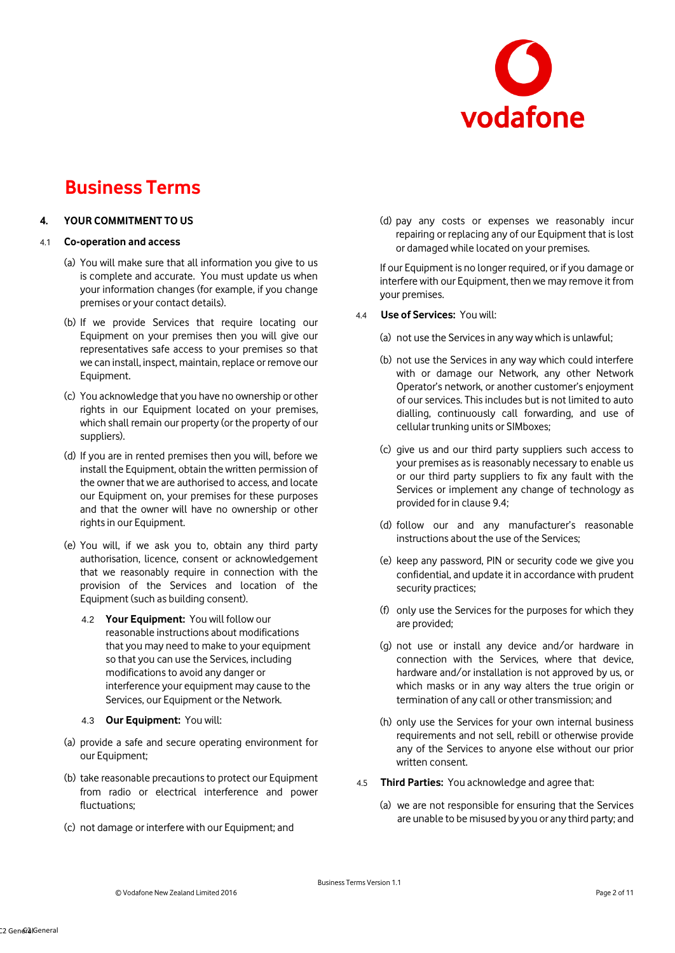

## **4. YOUR COMMITMENT TO US**

## 4.1 **Co-operation and access**

- (a) You will make sure that all information you give to us is complete and accurate. You must update us when your information changes (for example, if you change premises or your contact details).
- (b) If we provide Services that require locating our Equipment on your premises then you will give our representatives safe access to your premises so that we can install, inspect, maintain, replace or remove our Equipment.
- (c) You acknowledge that you have no ownership or other rights in our Equipment located on your premises, which shall remain our property (or the property of our suppliers).
- (d) If you are in rented premises then you will, before we install the Equipment, obtain the written permission of the owner that we are authorised to access, and locate our Equipment on, your premises for these purposes and that the owner will have no ownership or other rights in our Equipment.
- (e) You will, if we ask you to, obtain any third party authorisation, licence, consent or acknowledgement that we reasonably require in connection with the provision of the Services and location of the Equipment (such as building consent).
	- 4.2 **Your Equipment:** You will follow our reasonable instructions about modifications that you may need to make to your equipment so that you can use the Services, including modifications to avoid any danger or interference your equipment may cause to the Services, our Equipment or the Network.
	- 4.3 **Our Equipment:** You will:
- (a) provide a safe and secure operating environment for our Equipment;
- (b) take reasonable precautions to protect our Equipment from radio or electrical interference and power fluctuations;
- (c) not damage or interfere with our Equipment; and

(d) pay any costs or expenses we reasonably incur repairing or replacing any of our Equipment that is lost or damaged while located on your premises.

If our Equipment is no longer required, or if you damage or interfere with our Equipment, then we may remove it from your premises.

- 4.4 **Use of Services:** You will:
	- (a) not use the Services in any way which is unlawful;
	- (b) not use the Services in any way which could interfere with or damage our Network, any other Network Operator's network, or another customer's enjoyment of our services. This includes but is not limited to auto dialling, continuously call forwarding, and use of cellular trunking units or SIMboxes;
	- (c) give us and our third party suppliers such access to your premises as is reasonably necessary to enable us or our third party suppliers to fix any fault with the Services or implement any change of technology as provided for in clause 9.4;
	- (d) follow our and any manufacturer's reasonable instructions about the use of the Services;
	- (e) keep any password, PIN or security code we give you confidential, and update it in accordance with prudent security practices;
	- (f) only use the Services for the purposes for which they are provided;
	- (g) not use or install any device and/or hardware in connection with the Services, where that device, hardware and/or installation is not approved by us, or which masks or in any way alters the true origin or termination of any call or other transmission; and
	- (h) only use the Services for your own internal business requirements and not sell, rebill or otherwise provide any of the Services to anyone else without our prior written consent.
- 4.5 **Third Parties:** You acknowledge and agree that:
	- (a) we are not responsible for ensuring that the Services are unable to be misused by you or any third party; and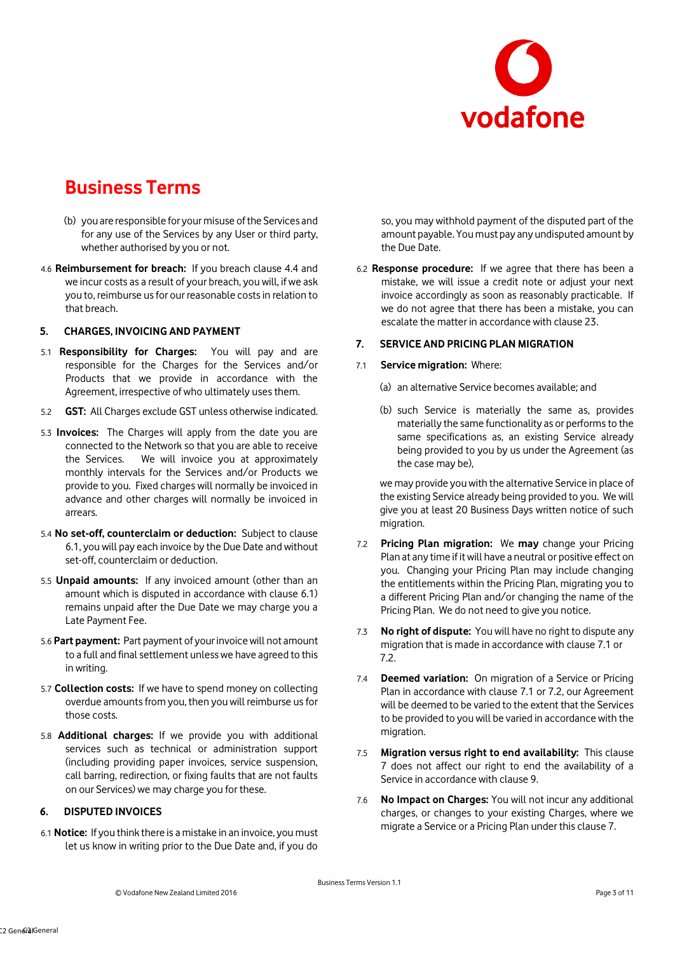

- (b) you are responsible for your misuse of the Services and for any use of the Services by any User or third party, whether authorised by you or not.
- 4.6 **Reimbursement for breach:** If you breach clause 4.4 and we incur costs as a result of your breach, you will, if we ask you to, reimburse us for our reasonable costs in relation to that breach.

## **5. CHARGES, INVOICING AND PAYMENT**

- 5.1 **Responsibility for Charges:** You will pay and are responsible for the Charges for the Services and/or Products that we provide in accordance with the Agreement, irrespective of who ultimately uses them.
- 5.2 **GST:** All Charges exclude GST unless otherwise indicated.
- 5.3 **Invoices:** The Charges will apply from the date you are connected to the Network so that you are able to receive the Services. We will invoice you at approximately monthly intervals for the Services and/or Products we provide to you. Fixed charges will normally be invoiced in advance and other charges will normally be invoiced in arrears.
- 5.4 **No set-off, counterclaim or deduction:** Subject to clause 6.1, you will pay each invoice by the Due Date and without set-off, counterclaim or deduction.
- 5.5 **Unpaid amounts:** If any invoiced amount (other than an amount which is disputed in accordance with clause 6.1) remains unpaid after the Due Date we may charge you a Late Payment Fee.
- 5.6 **Part payment:** Part payment of your invoice will not amount to a full and final settlement unless we have agreed to this in writing.
- 5.7 **Collection costs:** If we have to spend money on collecting overdue amounts from you, then you will reimburse us for those costs.
- 5.8 **Additional charges:** If we provide you with additional services such as technical or administration support (including providing paper invoices, service suspension, call barring, redirection, or fixing faults that are not faults on our Services) we may charge you for these.

## **6. DISPUTED INVOICES**

6.1 **Notice:** If you think there is a mistake in an invoice, you must let us know in writing prior to the Due Date and, if you do

so, you may withhold payment of the disputed part of the amount payable. You must pay any undisputed amount by the Due Date.

6.2 **Response procedure:** If we agree that there has been a mistake, we will issue a credit note or adjust your next invoice accordingly as soon as reasonably practicable. If we do not agree that there has been a mistake, you can escalate the matter in accordance with clause 23.

## **7. SERVICE AND PRICING PLAN MIGRATION**

#### 7.1 **Service migration:** Where:

- (a) an alternative Service becomes available; and
- (b) such Service is materially the same as, provides materially the same functionality as or performs to the same specifications as, an existing Service already being provided to you by us under the Agreement (as the case may be),

we may provide you with the alternative Service in place of the existing Service already being provided to you. We will give you at least 20 Business Days written notice of such migration.

- 7.2 **Pricing Plan migration:** We **may** change your Pricing Plan at any time if it will have a neutral or positive effect on you. Changing your Pricing Plan may include changing the entitlements within the Pricing Plan, migrating you to a different Pricing Plan and/or changing the name of the Pricing Plan. We do not need to give you notice.
- 7.3 **No right of dispute:** You will have no right to dispute any migration that is made in accordance with clause 7.1 or 7.2.
- 7.4 **Deemed variation:** On migration of a Service or Pricing Plan in accordance with clause 7.1 or 7.2, our Agreement will be deemed to be varied to the extent that the Services to be provided to you will be varied in accordance with the migration.
- 7.5 **Migration versus right to end availability:** This clause 7 does not affect our right to end the availability of a Service in accordance with clause 9.
- 7.6 **No Impact on Charges:** You will not incur any additional charges, or changes to your existing Charges, where we migrate a Service or a Pricing Plan under this clause 7.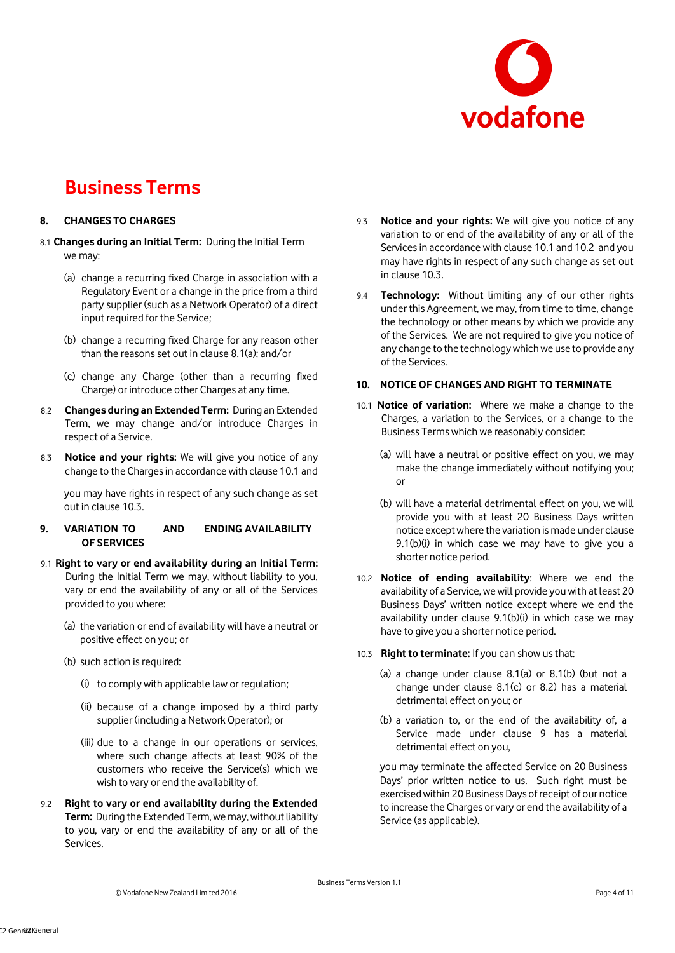

## **8. CHANGES TO CHARGES**

- 8.1 **Changes during an Initial Term:** During the Initial Term we may:
	- (a) change a recurring fixed Charge in association with a Regulatory Event or a change in the price from a third party supplier (such as a Network Operator) of a direct input required for the Service;
	- (b) change a recurring fixed Charge for any reason other than the reasons set out in clause 8.1(a); and/or
	- (c) change any Charge (other than a recurring fixed Charge) or introduce other Charges at any time.
- 8.2 **Changes during an Extended Term:** During an Extended Term, we may change and/or introduce Charges in respect of a Service.
- 8.3 **Notice and your rights:** We will give you notice of any change to the Charges in accordance with clause 10.1 and

you may have rights in respect of any such change as set out in clause 10.3.

## **9. VARIATION TO AND ENDING AVAILABILITY OF SERVICES**

- 9.1 **Right to vary or end availability during an Initial Term:**  During the Initial Term we may, without liability to you, vary or end the availability of any or all of the Services provided to you where:
	- (a) the variation or end of availability will have a neutral or positive effect on you; or
	- (b) such action is required:
		- (i) to comply with applicable law or regulation;
		- (ii) because of a change imposed by a third party supplier (including a Network Operator); or
		- (iii) due to a change in our operations or services, where such change affects at least 90% of the customers who receive the Service(s) which we wish to vary or end the availability of.
- 9.2 **Right to vary or end availability during the Extended Term:** During the Extended Term, we may, without liability to you, vary or end the availability of any or all of the **Services**
- 9.3 **Notice and your rights:** We will give you notice of any variation to or end of the availability of any or all of the Services in accordance with clause 10.1 and 10.2 and you may have rights in respect of any such change as set out in clause 10.3.
- 9.4 **Technology:** Without limiting any of our other rights under this Agreement, we may, from time to time, change the technology or other means by which we provide any of the Services. We are not required to give you notice of any change to the technology which we use to provide any of the Services.

## **10. NOTICE OF CHANGES AND RIGHT TO TERMINATE**

- 10.1 **Notice of variation:** Where we make a change to the Charges, a variation to the Services, or a change to the Business Terms which we reasonably consider:
	- (a) will have a neutral or positive effect on you, we may make the change immediately without notifying you; or
	- (b) will have a material detrimental effect on you, we will provide you with at least 20 Business Days written notice except where the variation is made under clause 9.1(b)(i) in which case we may have to give you a shorter notice period.
- 10.2 **Notice of ending availability**: Where we end the availability of a Service, we will provide you with at least 20 Business Days' written notice except where we end the availability under clause 9.1(b)(i) in which case we may have to give you a shorter notice period.

#### 10.3 **Right to terminate:** If you can show us that:

- (a) a change under clause 8.1(a) or 8.1(b) (but not a change under clause 8.1(c) or 8.2) has a material detrimental effect on you; or
- (b) a variation to, or the end of the availability of, a Service made under clause 9 has a material detrimental effect on you,

you may terminate the affected Service on 20 Business Days' prior written notice to us. Such right must be exercised within 20 Business Days of receipt of our notice to increase the Charges or vary or end the availability of a Service (as applicable).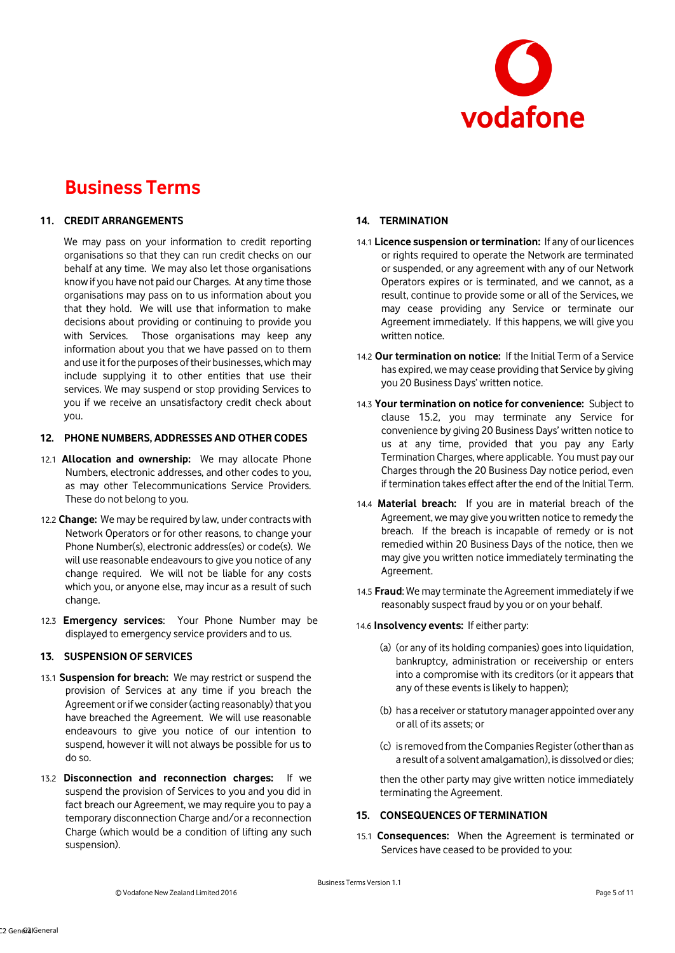

## **11. CREDIT ARRANGEMENTS**

We may pass on your information to credit reporting organisations so that they can run credit checks on our behalf at any time. We may also let those organisations know if you have not paid our Charges. At any time those organisations may pass on to us information about you that they hold. We will use that information to make decisions about providing or continuing to provide you with Services. Those organisations may keep any information about you that we have passed on to them and use it for the purposes of their businesses, which may include supplying it to other entities that use their services. We may suspend or stop providing Services to you if we receive an unsatisfactory credit check about you.

## **12. PHONE NUMBERS, ADDRESSES AND OTHER CODES**

- 12.1 **Allocation and ownership:** We may allocate Phone Numbers, electronic addresses, and other codes to you, as may other Telecommunications Service Providers. These do not belong to you.
- 12.2 **Change:** We may be required by law, under contracts with Network Operators or for other reasons, to change your Phone Number(s), electronic address(es) or code(s). We will use reasonable endeavours to give you notice of any change required. We will not be liable for any costs which you, or anyone else, may incur as a result of such change.
- 12.3 **Emergency services**: Your Phone Number may be displayed to emergency service providers and to us.

## **13. SUSPENSION OF SERVICES**

- 13.1 **Suspension for breach:** We may restrict or suspend the provision of Services at any time if you breach the Agreement or if we consider (acting reasonably) that you have breached the Agreement. We will use reasonable endeavours to give you notice of our intention to suspend, however it will not always be possible for us to do so.
- 13.2 **Disconnection and reconnection charges:** If we suspend the provision of Services to you and you did in fact breach our Agreement, we may require you to pay a temporary disconnection Charge and/or a reconnection Charge (which would be a condition of lifting any such suspension).

## **14. TERMINATION**

- 14.1 **Licence suspension or termination:** If any of our licences or rights required to operate the Network are terminated or suspended, or any agreement with any of our Network Operators expires or is terminated, and we cannot, as a result, continue to provide some or all of the Services, we may cease providing any Service or terminate our Agreement immediately. If this happens, we will give you written notice.
- 14.2 **Our termination on notice:** If the Initial Term of a Service has expired, we may cease providing that Service by giving you 20 Business Days' written notice.
- 14.3 **Your termination on notice for convenience:** Subject to clause 15.2, you may terminate any Service for convenience by giving 20 Business Days' written notice to us at any time, provided that you pay any Early Termination Charges, where applicable. You must pay our Charges through the 20 Business Day notice period, even if termination takes effect after the end of the Initial Term.
- 14.4 **Material breach:** If you are in material breach of the Agreement, we may give you written notice to remedy the breach. If the breach is incapable of remedy or is not remedied within 20 Business Days of the notice, then we may give you written notice immediately terminating the Agreement.
- 14.5 **Fraud**: We may terminate the Agreement immediately if we reasonably suspect fraud by you or on your behalf.
- 14.6 **Insolvency events:** If either party:
	- (a) (or any of its holding companies) goes into liquidation, bankruptcy, administration or receivership or enters into a compromise with its creditors (or it appears that any of these events is likely to happen);
	- (b) has a receiver or statutory manager appointed over any or all of its assets; or
	- (c) is removed from the Companies Register (other than as a result of a solvent amalgamation), is dissolved or dies;

then the other party may give written notice immediately terminating the Agreement.

## **15. CONSEQUENCES OF TERMINATION**

15.1 **Consequences:** When the Agreement is terminated or Services have ceased to be provided to you: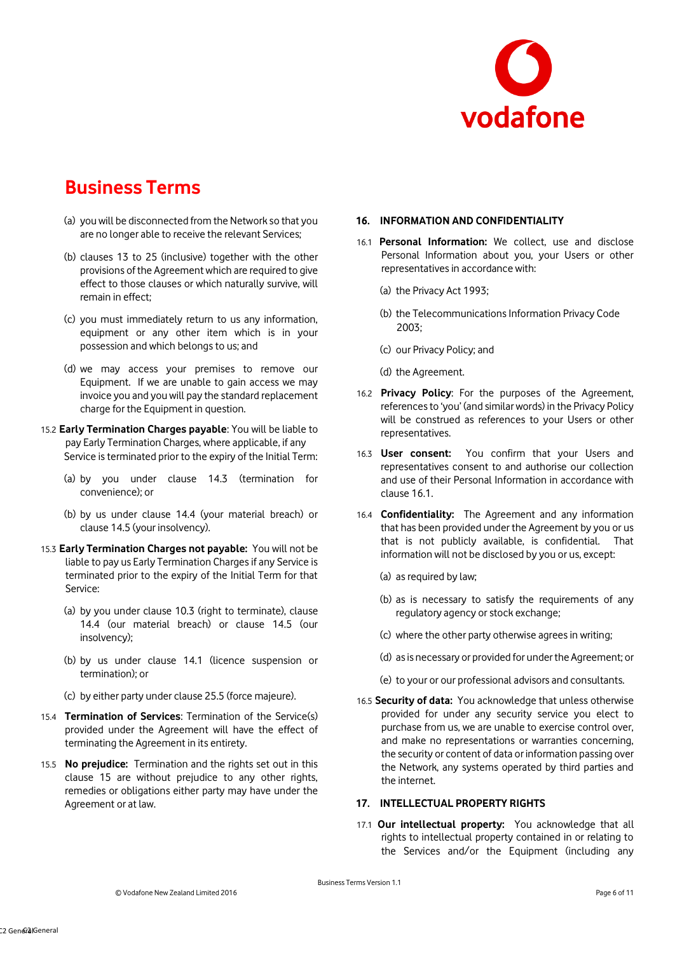

- (a) you will be disconnected from the Network so that you are no longer able to receive the relevant Services;
- (b) clauses 13 to 25 (inclusive) together with the other provisions of the Agreement which are required to give effect to those clauses or which naturally survive, will remain in effect;
- (c) you must immediately return to us any information, equipment or any other item which is in your possession and which belongs to us; and
- (d) we may access your premises to remove our Equipment. If we are unable to gain access we may invoice you and you will pay the standard replacement charge for the Equipment in question.
- 15.2 **Early Termination Charges payable**: You will be liable to pay Early Termination Charges, where applicable, if any Service is terminated prior to the expiry of the Initial Term:
	- (a) by you under clause 14.3 (termination for convenience); or
	- (b) by us under clause 14.4 (your material breach) or clause 14.5 (your insolvency).
- 15.3 **Early Termination Charges not payable:** You will not be liable to pay us Early Termination Charges if any Service is terminated prior to the expiry of the Initial Term for that Service:
	- (a) by you under clause 10.3 (right to terminate), clause 14.4 (our material breach) or clause 14.5 (our insolvency);
	- (b) by us under clause 14.1 (licence suspension or termination); or
	- (c) by either party under clause 25.5 (force majeure).
- 15.4 **Termination of Services**: Termination of the Service(s) provided under the Agreement will have the effect of terminating the Agreement in its entirety.
- 15.5 **No prejudice:** Termination and the rights set out in this clause 15 are without prejudice to any other rights, remedies or obligations either party may have under the Agreement or at law.

## **16. INFORMATION AND CONFIDENTIALITY**

- 16.1 **Personal Information:** We collect, use and disclose Personal Information about you, your Users or other representatives in accordance with:
	- (a) the Privacy Act 1993;
	- (b) the Telecommunications Information Privacy Code 2003;
	- (c) our Privacy Policy; and
	- (d) the Agreement.
- 16.2 **Privacy Policy**: For the purposes of the Agreement, references to 'you' (and similar words) in the Privacy Policy will be construed as references to your Users or other representatives.
- 16.3 **User consent:** You confirm that your Users and representatives consent to and authorise our collection and use of their Personal Information in accordance with clause 16.1.
- 16.4 **Confidentiality:** The Agreement and any information that has been provided under the Agreement by you or us that is not publicly available, is confidential. That information will not be disclosed by you or us, except:
	- (a) as required by law;
	- (b) as is necessary to satisfy the requirements of any regulatory agency or stock exchange;
	- (c) where the other party otherwise agrees in writing;
	- (d) as is necessary or provided for under the Agreement; or
	- (e) to your or our professional advisors and consultants.
- 16.5 **Security of data:** You acknowledge that unless otherwise provided for under any security service you elect to purchase from us, we are unable to exercise control over, and make no representations or warranties concerning, the security or content of data or information passing over the Network, any systems operated by third parties and the internet.

#### **17. INTELLECTUAL PROPERTY RIGHTS**

17.1 **Our intellectual property:** You acknowledge that all rights to intellectual property contained in or relating to the Services and/or the Equipment (including any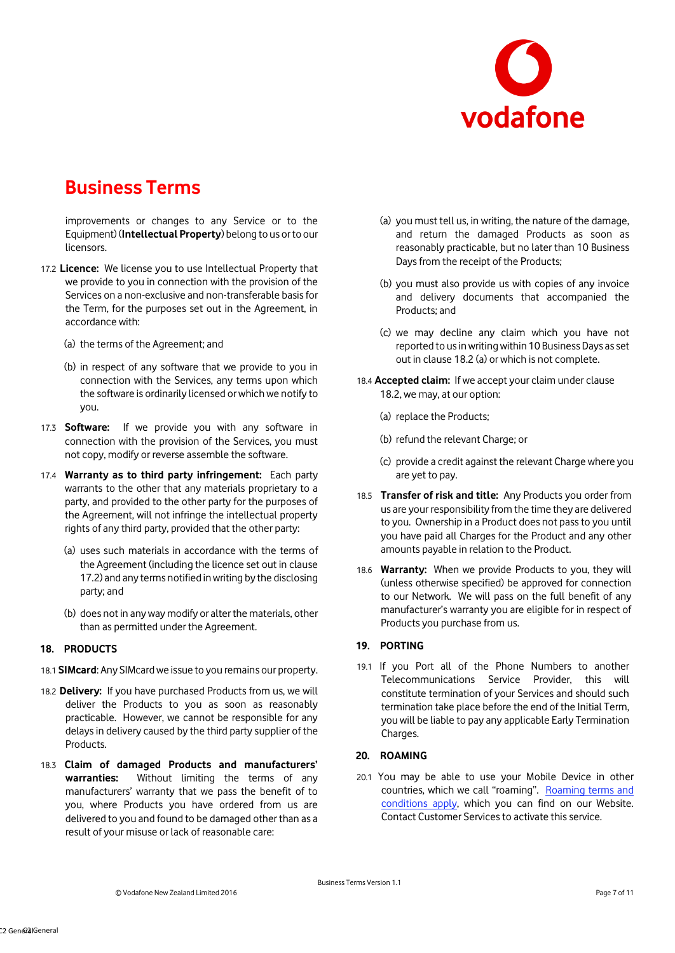

improvements or changes to any Service or to the Equipment) (**Intellectual Property**) belong to us or to our licensors.

- 17.2 **Licence:** We license you to use Intellectual Property that we provide to you in connection with the provision of the Services on a non-exclusive and non-transferable basis for the Term, for the purposes set out in the Agreement, in accordance with:
	- (a) the terms of the Agreement; and
	- (b) in respect of any software that we provide to you in connection with the Services, any terms upon which the software is ordinarily licensed or which we notify to you.
- 17.3 **Software:** If we provide you with any software in connection with the provision of the Services, you must not copy, modify or reverse assemble the software.
- 17.4 **Warranty as to third party infringement:** Each party warrants to the other that any materials proprietary to a party, and provided to the other party for the purposes of the Agreement, will not infringe the intellectual property rights of any third party, provided that the other party:
	- (a) uses such materials in accordance with the terms of the Agreement (including the licence set out in clause 17.2) and any terms notified in writing by the disclosing party; and
	- (b) does not in any way modify or alter the materials, other than as permitted under the Agreement.

### **18. PRODUCTS**

- 18.1 **SIMcard**: Any SIMcard we issue to you remains our property.
- 18.2 **Delivery:** If you have purchased Products from us, we will deliver the Products to you as soon as reasonably practicable. However, we cannot be responsible for any delays in delivery caused by the third party supplier of the Products.
- 18.3 **Claim of damaged Products and manufacturers' warranties:** Without limiting the terms of any manufacturers' warranty that we pass the benefit of to you, where Products you have ordered from us are delivered to you and found to be damaged other than as a result of your misuse or lack of reasonable care:
- (a) you must tell us, in writing, the nature of the damage, and return the damaged Products as soon as reasonably practicable, but no later than 10 Business Days from the receipt of the Products;
- (b) you must also provide us with copies of any invoice and delivery documents that accompanied the Products; and
- (c) we may decline any claim which you have not reported to us in writing within 10 Business Days as set out in clause 18.2 (a) or which is not complete.
- 18.4 **Accepted claim:** If we accept your claim under clause 18.2, we may, at our option:
	- (a) replace the Products;
	- (b) refund the relevant Charge; or
	- (c) provide a credit against the relevant Charge where you are yet to pay.
- 18.5 **Transfer of risk and title:** Any Products you order from us are your responsibility from the time they are delivered to you. Ownership in a Product does not pass to you until you have paid all Charges for the Product and any other amounts payable in relation to the Product.
- 18.6 **Warranty:** When we provide Products to you, they will (unless otherwise specified) be approved for connection to our Network. We will pass on the full benefit of any manufacturer's warranty you are eligible for in respect of Products you purchase from us.

## **19. PORTING**

19.1 If you Port all of the Phone Numbers to another Telecommunications Service Provider, this will constitute termination of your Services and should such termination take place before the end of the Initial Term, you will be liable to pay any applicable Early Termination Charges.

#### **20. ROAMING**

20.1 You may be able to use your Mobile Device in other countries, which we call "roaming". Roaming terms and conditions apply, which you can find on our Website. Contact Customer Services to activate this service.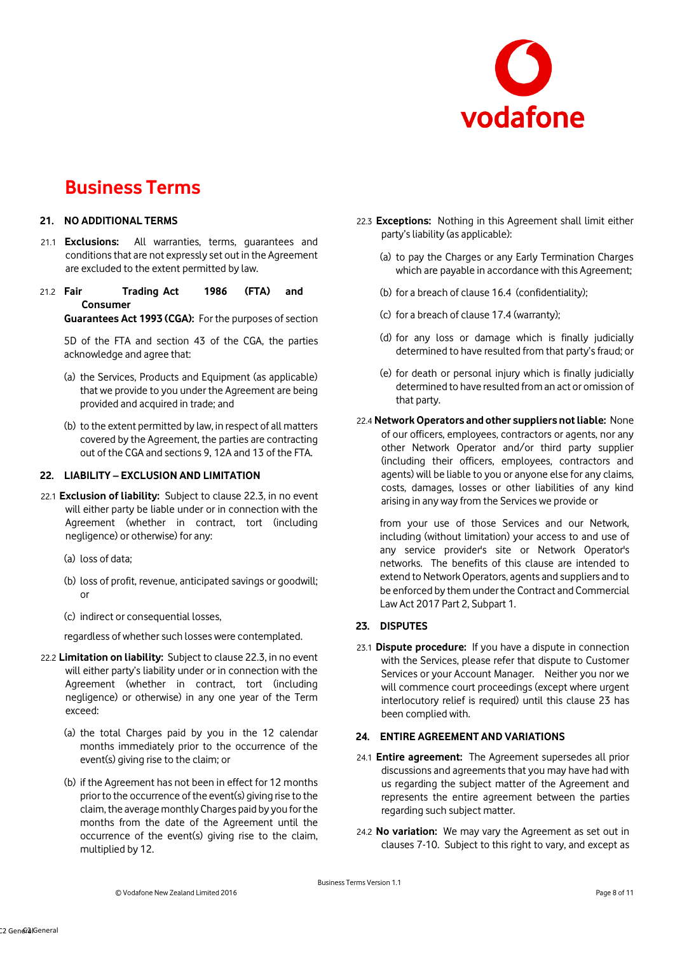

## **21. NO ADDITIONAL TERMS**

- 21.1 **Exclusions:** All warranties, terms, guarantees and conditions that are not expressly set out in the Agreement are excluded to the extent permitted by law.
- 21.2 **Fair Trading Act 1986 (FTA) and Consumer**

**Guarantees Act 1993 (CGA):** For the purposes of section

5D of the FTA and section 43 of the CGA, the parties acknowledge and agree that:

- (a) the Services, Products and Equipment (as applicable) that we provide to you under the Agreement are being provided and acquired in trade; and
- (b) to the extent permitted by law, in respect of all matters covered by the Agreement, the parties are contracting out of the CGA and sections 9, 12A and 13 of the FTA.

### **22. LIABILITY – EXCLUSION AND LIMITATION**

- 22.1 **Exclusion of liability:** Subject to clause 22.3, in no event will either party be liable under or in connection with the Agreement (whether in contract, tort (including negligence) or otherwise) for any:
	- (a) loss of data;
	- (b) loss of profit, revenue, anticipated savings or goodwill; or
	- (c) indirect or consequential losses,

regardless of whether such losses were contemplated.

- 22.2 **Limitation on liability:** Subject to clause 22.3, in no event will either party's liability under or in connection with the Agreement (whether in contract, tort (including negligence) or otherwise) in any one year of the Term exceed:
	- (a) the total Charges paid by you in the 12 calendar months immediately prior to the occurrence of the event(s) giving rise to the claim; or
	- (b) if the Agreement has not been in effect for 12 months prior to the occurrence of the event(s) giving rise to the claim, the average monthly Charges paid by you for the months from the date of the Agreement until the occurrence of the event(s) giving rise to the claim, multiplied by 12.
- 22.3 **Exceptions:** Nothing in this Agreement shall limit either party's liability (as applicable):
	- (a) to pay the Charges or any Early Termination Charges which are payable in accordance with this Agreement;
	- (b) for a breach of clause 16.4 (confidentiality);
	- (c) for a breach of clause 17.4 (warranty);
	- (d) for any loss or damage which is finally judicially determined to have resulted from that party's fraud; or
	- (e) for death or personal injury which is finally judicially determined to have resulted from an act or omission of that party.
- 22.4 **NetworkOperators and other suppliers not liable:** None of our officers, employees, contractors or agents, nor any other Network Operator and/or third party supplier (including their officers, employees, contractors and agents) will be liable to you or anyone else for any claims, costs, damages, losses or other liabilities of any kind arising in any way from the Services we provide or

from your use of those Services and our Network, including (without limitation) your access to and use of any service provider's site or Network Operator's networks. The benefits of this clause are intended to extend to Network Operators, agents and suppliers and to be enforced by them under the Contract and Commercial Law Act 2017 Part 2, Subpart 1.

## **23. DISPUTES**

23.1 **Dispute procedure:** If you have a dispute in connection with the Services, please refer that dispute to Customer Services or your Account Manager. Neither you nor we will commence court proceedings (except where urgent interlocutory relief is required) until this clause 23 has been complied with.

## **24. ENTIRE AGREEMENT AND VARIATIONS**

- 24.1 **Entire agreement:** The Agreement supersedes all prior discussions and agreements that you may have had with us regarding the subject matter of the Agreement and represents the entire agreement between the parties regarding such subject matter.
- 24.2 **No variation:** We may vary the Agreement as set out in clauses 7-10. Subject to this right to vary, and except as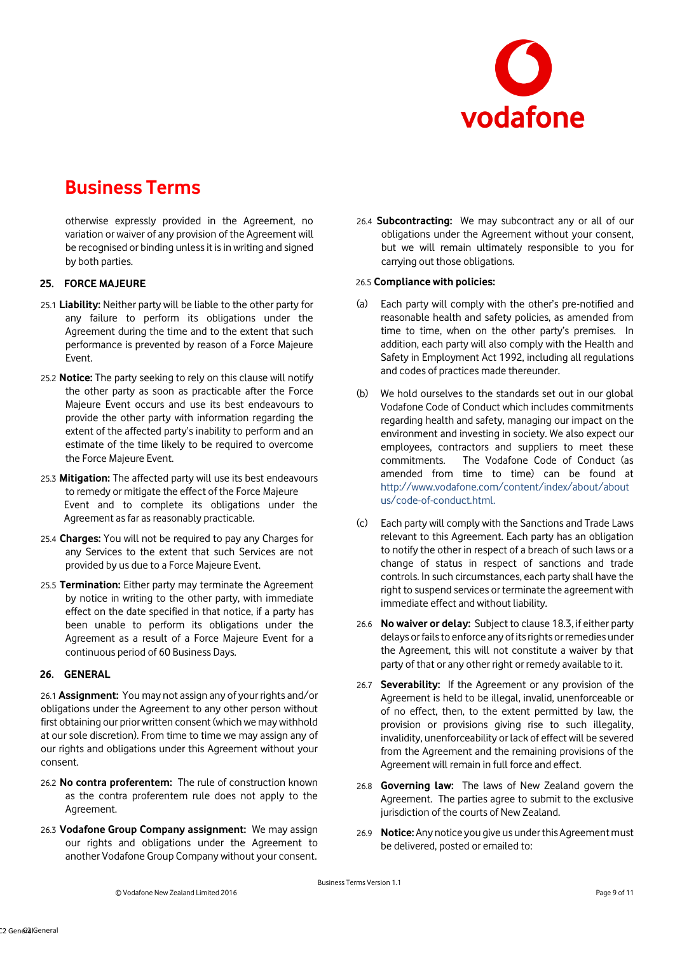

otherwise expressly provided in the Agreement, no variation or waiver of any provision of the Agreement will be recognised or binding unless it is in writing and signed by both parties.

## **25. FORCE MAJEURE**

- 25.1 **Liability:** Neither party will be liable to the other party for any failure to perform its obligations under the Agreement during the time and to the extent that such performance is prevented by reason of a Force Majeure Event.
- 25.2 **Notice:** The party seeking to rely on this clause will notify the other party as soon as practicable after the Force Majeure Event occurs and use its best endeavours to provide the other party with information regarding the extent of the affected party's inability to perform and an estimate of the time likely to be required to overcome the Force Majeure Event.
- 25.3 **Mitigation:** The affected party will use its best endeavours to remedy or mitigate the effect of the Force Majeure Event and to complete its obligations under the Agreement as far as reasonably practicable.
- 25.4 **Charges:** You will not be required to pay any Charges for any Services to the extent that such Services are not provided by us due to a Force Majeure Event.
- 25.5 **Termination:** Either party may terminate the Agreement by notice in writing to the other party, with immediate effect on the date specified in that notice, if a party has been unable to perform its obligations under the Agreement as a result of a Force Majeure Event for a continuous period of 60 Business Days.

## **26. GENERAL**

26.1 **Assignment:** You may not assign any of your rights and/or obligations under the Agreement to any other person without first obtaining our prior written consent (which we may withhold at our sole discretion). From time to time we may assign any of our rights and obligations under this Agreement without your consent.

- 26.2 **No contra proferentem:** The rule of construction known as the contra proferentem rule does not apply to the Agreement.
- 26.3 **Vodafone Group Company assignment:** We may assign our rights and obligations under the Agreement to another Vodafone Group Company without your consent.

26.4 **Subcontracting:** We may subcontract any or all of our obligations under the Agreement without your consent, but we will remain ultimately responsible to you for carrying out those obligations.

#### 26.5 **Compliance with policies:**

- (a) Each party will comply with the other's pre-notified and reasonable health and safety policies, as amended from time to time, when on the other party's premises. In addition, each party will also comply with the Health and Safety in Employment Act 1992, including all regulations and codes of practices made thereunder.
- (b) We hold ourselves to the standards set out in our global Vodafone Code of Conduct which includes commitments regarding health and safety, managing our impact on the environment and investing in society. We also expect our employees, contractors and suppliers to meet these commitments. The Vodafone Code of Conduct (as amended from time to time) can be found at [http://www.vodafone.com/content/index/about/about](http://www.vodafone.com/content/index/about/about-us/code-of-conduct.html) [us/code-of-conduct.html.](http://www.vodafone.com/content/index/about/about-us/code-of-conduct.html)
- (c) Each party will comply with the Sanctions and Trade Laws relevant to this Agreement. Each party has an obligation to notify the other in respect of a breach of such laws or a change of status in respect of sanctions and trade controls. In such circumstances, each party shall have the right to suspend services or terminate the agreement with immediate effect and without liability.
- 26.6 **No waiver or delay:** Subject to clause 18.3, if either party delays or fails to enforce any of its rights or remedies under the Agreement, this will not constitute a waiver by that party of that or any other right or remedy available to it.
- 26.7 **Severability:** If the Agreement or any provision of the Agreement is held to be illegal, invalid, unenforceable or of no effect, then, to the extent permitted by law, the provision or provisions giving rise to such illegality, invalidity, unenforceability or lack of effect will be severed from the Agreement and the remaining provisions of the Agreement will remain in full force and effect.
- 26.8 **Governing law:** The laws of New Zealand govern the Agreement. The parties agree to submit to the exclusive jurisdiction of the courts of New Zealand.
- 26.9 **Notice:** Any notice you give us under this Agreement must be delivered, posted or emailed to: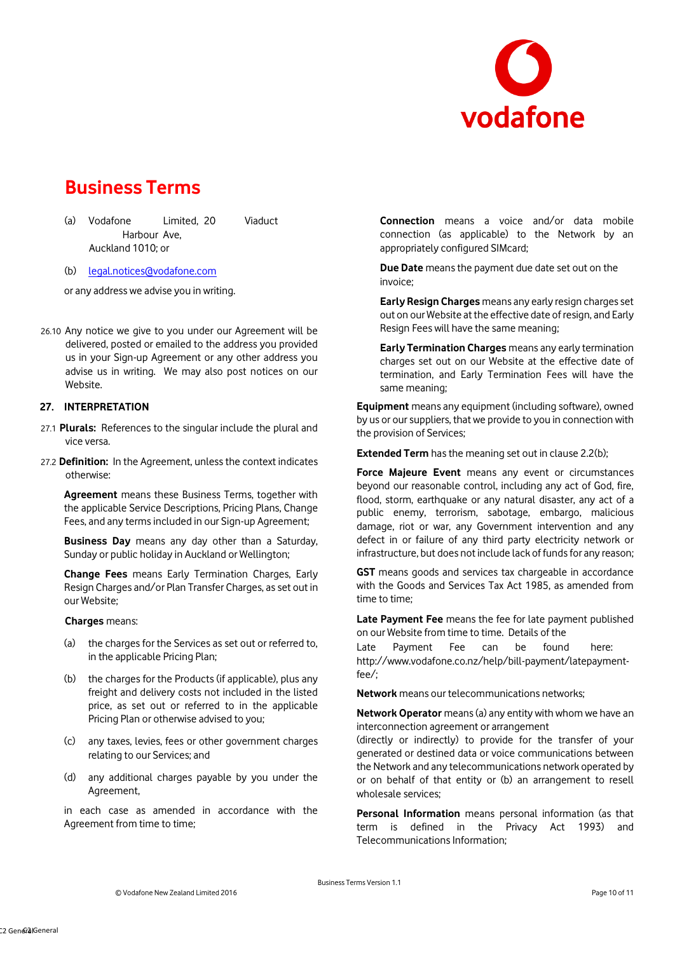

(a) Vodafone Limited, 20 Viaduct Harbour Ave, Auckland 1010; or

(b) legal.notices@vodafone.com

or any address we advise you in writing.

26.10 Any notice we give to you under our Agreement will be delivered, posted or emailed to the address you provided us in your Sign-up Agreement or any other address you advise us in writing. We may also post notices on our Website.

#### **27. INTERPRETATION**

- 27.1 **Plurals:** References to the singular include the plural and vice versa.
- 27.2 **Definition:** In the Agreement, unless the context indicates otherwise:

**Agreement** means these Business Terms, together with the applicable Service Descriptions, Pricing Plans, Change Fees, and any terms included in our Sign-up Agreement;

**Business Day** means any day other than a Saturday, Sunday or public holiday in Auckland or Wellington;

**Change Fees** means Early Termination Charges, Early Resign Charges and/or Plan Transfer Charges, as set out in our Website;

#### **Charges** means:

- (a) the charges for the Services as set out or referred to, in the applicable Pricing Plan;
- (b) the charges for the Products (if applicable), plus any freight and delivery costs not included in the listed price, as set out or referred to in the applicable Pricing Plan or otherwise advised to you;
- (c) any taxes, levies, fees or other government charges relating to our Services; and
- (d) any additional charges payable by you under the Agreement,

in each case as amended in accordance with the Agreement from time to time;

**Connection** means a voice and/or data mobile connection (as applicable) to the Network by an appropriately configured SIMcard;

**Due Date** means the payment due date set out on the invoice;

**Early Resign Charges** means any early resign charges set out on our Website at the effective date of resign, and Early Resign Fees will have the same meaning;

**Early Termination Charges** means any early termination charges set out on our Website at the effective date of termination, and Early Termination Fees will have the same meaning;

**Equipment** means any equipment (including software), owned by us or our suppliers, that we provide to you in connection with the provision of Services;

**Extended Term** has the meaning set out in clause 2.2(b);

**Force Majeure Event** means any event or circumstances beyond our reasonable control, including any act of God, fire, flood, storm, earthquake or any natural disaster, any act of a public enemy, terrorism, sabotage, embargo, malicious damage, riot or war, any Government intervention and any defect in or failure of any third party electricity network or infrastructure, but does not include lack of funds for any reason;

**GST** means goods and services tax chargeable in accordance with the Goods and Services Tax Act 1985, as amended from time to time;

**Late Payment Fee** means the fee for late payment published on our Website from time to time. Details of the

Late Payment Fee can be found here: [http://www.vodafone.co.nz/help/bill-payment/latepayment](http://www.vodafone.co.nz/help/bill-payment/late-payment-fee/)[fee/;](http://www.vodafone.co.nz/help/bill-payment/late-payment-fee/)

**Network** means our telecommunications networks;

**Network Operator** means (a) any entity with whom we have an interconnection agreement or arrangement

(directly or indirectly) to provide for the transfer of your generated or destined data or voice communications between the Network and any telecommunications network operated by or on behalf of that entity or (b) an arrangement to resell wholesale services;

**Personal Information** means personal information (as that term is defined in the Privacy Act 1993) and Telecommunications Information;